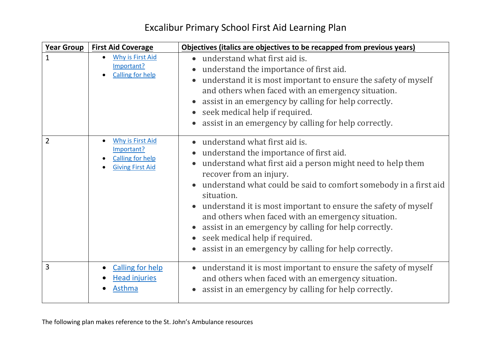| Year Group     | <b>First Aid Coverage</b>                                                                   | Objectives (italics are objectives to be recapped from previous years)                                                                                                                                                                                                                                                                                                                                                                                                                                                                         |
|----------------|---------------------------------------------------------------------------------------------|------------------------------------------------------------------------------------------------------------------------------------------------------------------------------------------------------------------------------------------------------------------------------------------------------------------------------------------------------------------------------------------------------------------------------------------------------------------------------------------------------------------------------------------------|
| 1              | <b>Why is First Aid</b><br>Important?<br><b>Calling for help</b>                            | • understand what first aid is.<br>understand the importance of first aid.<br>understand it is most important to ensure the safety of myself<br>and others when faced with an emergency situation.<br>assist in an emergency by calling for help correctly.<br>seek medical help if required.<br>assist in an emergency by calling for help correctly.                                                                                                                                                                                         |
| $\overline{2}$ | <b>Why is First Aid</b><br>Important?<br><b>Calling for help</b><br><b>Giving First Aid</b> | • understand what first aid is.<br>understand the importance of first aid.<br>understand what first aid a person might need to help them<br>recover from an injury.<br>understand what could be said to comfort somebody in a first aid<br>situation.<br>understand it is most important to ensure the safety of myself<br>$\bullet$<br>and others when faced with an emergency situation.<br>assist in an emergency by calling for help correctly.<br>seek medical help if required.<br>assist in an emergency by calling for help correctly. |
| 3              | <b>Calling for help</b><br><b>Head injuries</b><br>Asthma                                   | understand it is most important to ensure the safety of myself<br>$\bullet$<br>and others when faced with an emergency situation.<br>assist in an emergency by calling for help correctly.                                                                                                                                                                                                                                                                                                                                                     |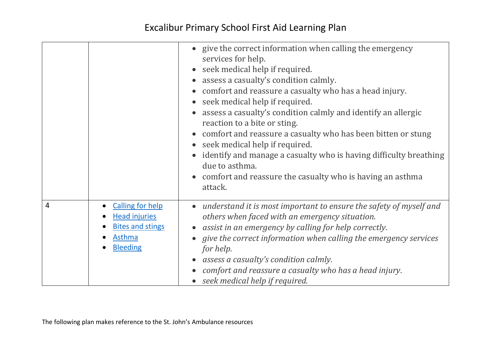|                |                                                                                                                             | • give the correct information when calling the emergency<br>services for help.<br>seek medical help if required.<br>assess a casualty's condition calmly.<br>comfort and reassure a casualty who has a head injury.<br>seek medical help if required.<br>assess a casualty's condition calmly and identify an allergic<br>reaction to a bite or sting.<br>comfort and reassure a casualty who has been bitten or stung<br>seek medical help if required.<br>identify and manage a casualty who is having difficulty breathing<br>due to asthma.<br>comfort and reassure the casualty who is having an asthma<br>attack. |
|----------------|-----------------------------------------------------------------------------------------------------------------------------|--------------------------------------------------------------------------------------------------------------------------------------------------------------------------------------------------------------------------------------------------------------------------------------------------------------------------------------------------------------------------------------------------------------------------------------------------------------------------------------------------------------------------------------------------------------------------------------------------------------------------|
| $\overline{4}$ | <b>Calling for help</b><br>$\bullet$<br><b>Head injuries</b><br><b>Bites and stings</b><br><b>Asthma</b><br><b>Bleeding</b> | understand it is most important to ensure the safety of myself and<br>$\bullet$<br>others when faced with an emergency situation.<br>assist in an emergency by calling for help correctly.<br>give the correct information when calling the emergency services<br>for help.<br>assess a casualty's condition calmly.<br>comfort and reassure a casualty who has a head injury.<br>seek medical help if required.                                                                                                                                                                                                         |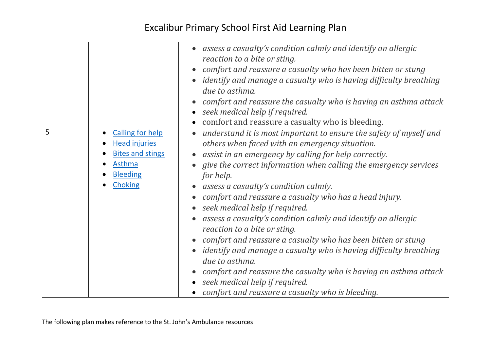|   |                                                                                                                                               | assess a casualty's condition calmly and identify an allergic<br>reaction to a bite or sting.<br>comfort and reassure a casualty who has been bitten or stung<br><i>identify and manage a casualty who is having difficulty breathing</i><br>due to asthma.<br>comfort and reassure the casualty who is having an asthma attack<br>seek medical help if required.<br>comfort and reassure a casualty who is bleeding.                                                                                                                                                                                                                                                                                                                                                                                                              |
|---|-----------------------------------------------------------------------------------------------------------------------------------------------|------------------------------------------------------------------------------------------------------------------------------------------------------------------------------------------------------------------------------------------------------------------------------------------------------------------------------------------------------------------------------------------------------------------------------------------------------------------------------------------------------------------------------------------------------------------------------------------------------------------------------------------------------------------------------------------------------------------------------------------------------------------------------------------------------------------------------------|
| 5 | <b>Calling for help</b><br>$\bullet$<br><b>Head injuries</b><br><b>Bites and stings</b><br><b>Asthma</b><br><b>Bleeding</b><br><b>Choking</b> | understand it is most important to ensure the safety of myself and<br>$\bullet$<br>others when faced with an emergency situation.<br>assist in an emergency by calling for help correctly.<br>give the correct information when calling the emergency services<br>for help.<br>assess a casualty's condition calmly.<br>comfort and reassure a casualty who has a head injury.<br>seek medical help if required.<br>assess a casualty's condition calmly and identify an allergic<br>reaction to a bite or sting.<br>comfort and reassure a casualty who has been bitten or stung<br>identify and manage a casualty who is having difficulty breathing<br>due to asthma.<br>comfort and reassure the casualty who is having an asthma attack<br>seek medical help if required.<br>comfort and reassure a casualty who is bleeding. |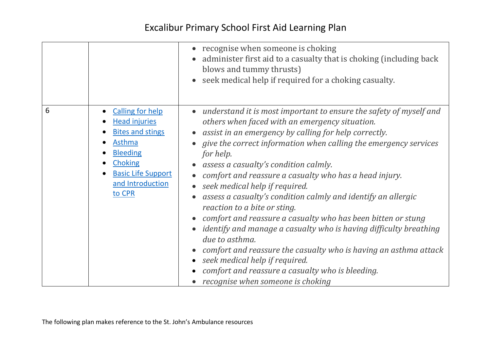|   |                                                                                                                                                                                      | recognise when someone is choking<br>administer first aid to a casualty that is choking (including back<br>blows and tummy thrusts)<br>seek medical help if required for a choking casualty.                                                                                                                                                                                                                                                                                                                                                                                                                                                                                                                                                                                                                                                                      |
|---|--------------------------------------------------------------------------------------------------------------------------------------------------------------------------------------|-------------------------------------------------------------------------------------------------------------------------------------------------------------------------------------------------------------------------------------------------------------------------------------------------------------------------------------------------------------------------------------------------------------------------------------------------------------------------------------------------------------------------------------------------------------------------------------------------------------------------------------------------------------------------------------------------------------------------------------------------------------------------------------------------------------------------------------------------------------------|
| 6 | <b>Calling for help</b><br><b>Head injuries</b><br><b>Bites and stings</b><br>Asthma<br><b>Bleeding</b><br><b>Choking</b><br><b>Basic Life Support</b><br>and Introduction<br>to CPR | understand it is most important to ensure the safety of myself and<br>others when faced with an emergency situation.<br>assist in an emergency by calling for help correctly.<br>give the correct information when calling the emergency services<br>for help.<br>assess a casualty's condition calmly.<br>comfort and reassure a casualty who has a head injury.<br>seek medical help if required.<br>assess a casualty's condition calmly and identify an allergic<br>reaction to a bite or sting.<br>comfort and reassure a casualty who has been bitten or stung<br><i>identify and manage a casualty who is having difficulty breathing</i><br>due to asthma.<br>comfort and reassure the casualty who is having an asthma attack<br>seek medical help if required.<br>comfort and reassure a casualty who is bleeding.<br>recognise when someone is choking |